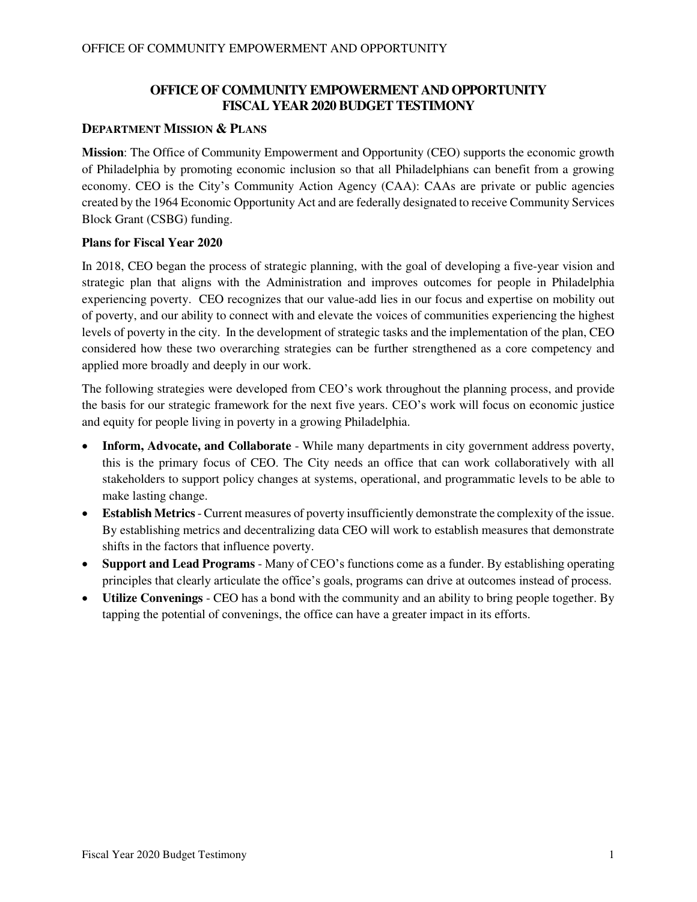## **OFFICE OF COMMUNITY EMPOWERMENT AND OPPORTUNITY FISCAL YEAR 2020 BUDGET TESTIMONY**

#### **DEPARTMENT MISSION & PLANS**

**Mission**: The Office of Community Empowerment and Opportunity (CEO) supports the economic growth of Philadelphia by promoting economic inclusion so that all Philadelphians can benefit from a growing economy. CEO is the City's Community Action Agency (CAA): CAAs are private or public agencies created by the 1964 Economic Opportunity Act and are federally designated to receive Community Services Block Grant (CSBG) funding.

#### **Plans for Fiscal Year 2020**

In 2018, CEO began the process of strategic planning, with the goal of developing a five-year vision and strategic plan that aligns with the Administration and improves outcomes for people in Philadelphia experiencing poverty. CEO recognizes that our value-add lies in our focus and expertise on mobility out of poverty, and our ability to connect with and elevate the voices of communities experiencing the highest levels of poverty in the city. In the development of strategic tasks and the implementation of the plan, CEO considered how these two overarching strategies can be further strengthened as a core competency and applied more broadly and deeply in our work.

The following strategies were developed from CEO's work throughout the planning process, and provide the basis for our strategic framework for the next five years. CEO's work will focus on economic justice and equity for people living in poverty in a growing Philadelphia.

- **Inform, Advocate, and Collaborate** While many departments in city government address poverty, this is the primary focus of CEO. The City needs an office that can work collaboratively with all stakeholders to support policy changes at systems, operational, and programmatic levels to be able to make lasting change.
- **Establish Metrics** Current measures of poverty insufficiently demonstrate the complexity of the issue. By establishing metrics and decentralizing data CEO will work to establish measures that demonstrate shifts in the factors that influence poverty.
- **Support and Lead Programs** Many of CEO's functions come as a funder. By establishing operating principles that clearly articulate the office's goals, programs can drive at outcomes instead of process.
- **Utilize Convenings** CEO has a bond with the community and an ability to bring people together. By tapping the potential of convenings, the office can have a greater impact in its efforts.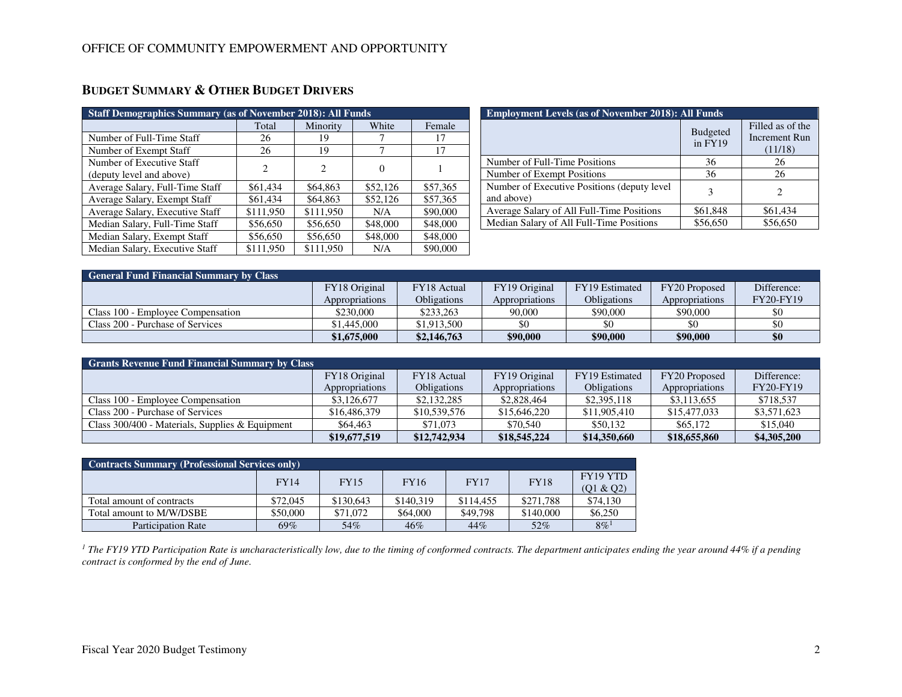| <b>Staff Demographics Summary (as of November 2018): All Funds</b> |                |           |          |          |  |  |  |
|--------------------------------------------------------------------|----------------|-----------|----------|----------|--|--|--|
|                                                                    | Total          | Minority  | White    | Female   |  |  |  |
| Number of Full-Time Staff                                          | 26             | 19        |          | 17       |  |  |  |
| Number of Exempt Staff                                             | 26             | 19        |          | 17       |  |  |  |
| Number of Executive Staff                                          | $\overline{c}$ | 2         | $\theta$ |          |  |  |  |
| (deputy level and above)                                           |                |           |          |          |  |  |  |
| Average Salary, Full-Time Staff                                    | \$61,434       | \$64,863  | \$52,126 | \$57,365 |  |  |  |
| Average Salary, Exempt Staff                                       | \$61,434       | \$64,863  | \$52,126 | \$57,365 |  |  |  |
| Average Salary, Executive Staff                                    | \$111,950      | \$111,950 | N/A      | \$90,000 |  |  |  |
| Median Salary, Full-Time Staff                                     | \$56,650       | \$56,650  | \$48,000 | \$48,000 |  |  |  |
| Median Salary, Exempt Staff                                        | \$56,650       | \$56,650  | \$48,000 | \$48,000 |  |  |  |
| Median Salary, Executive Staff                                     | \$111,950      | \$111,950 | N/A      | \$90,000 |  |  |  |

# **BUDGET SUMMARY & OTHER BUDGET DRIVERS**

| <b>Employment Levels (as of November 2018): All Funds</b>  |                              |                                                     |  |  |  |  |
|------------------------------------------------------------|------------------------------|-----------------------------------------------------|--|--|--|--|
|                                                            | <b>Budgeted</b><br>$in$ FY19 | Filled as of the<br><b>Increment Run</b><br>(11/18) |  |  |  |  |
| Number of Full-Time Positions                              | 36                           | 26                                                  |  |  |  |  |
| Number of Exempt Positions                                 | 36                           | 26                                                  |  |  |  |  |
| Number of Executive Positions (deputy level)<br>and above) | 3                            | $\mathcal{D}$                                       |  |  |  |  |
| Average Salary of All Full-Time Positions                  | \$61,848                     | \$61,434                                            |  |  |  |  |
| Median Salary of All Full-Time Positions                   | \$56,650                     | \$56,650                                            |  |  |  |  |

| <b>General Fund Financial Summary by Class</b> |                |                    |                |                    |                |                  |  |  |
|------------------------------------------------|----------------|--------------------|----------------|--------------------|----------------|------------------|--|--|
|                                                | FY18 Original  | FY18 Actual        | FY19 Original  | FY19 Estimated     | FY20 Proposed  | Difference:      |  |  |
|                                                | Appropriations | <b>Obligations</b> | Appropriations | <b>Obligations</b> | Appropriations | <b>FY20-FY19</b> |  |  |
| Class 100 - Employee Compensation              | \$230,000      | \$233,263          | 90,000         | \$90,000           | \$90,000       |                  |  |  |
| Class 200 - Purchase of Services               | \$1,445,000    | \$1,913,500        |                | \$0                |                | -\$0             |  |  |
|                                                | \$1,675,000    | \$2,146,763        | \$90,000       | \$90,000           | \$90,000       | \$0              |  |  |

| <b>Grants Revenue Fund Financial Summary by Class</b> |                |                    |                |                    |                |                  |  |  |
|-------------------------------------------------------|----------------|--------------------|----------------|--------------------|----------------|------------------|--|--|
|                                                       | FY18 Original  | FY18 Actual        | FY19 Original  | FY19 Estimated     | FY20 Proposed  | Difference:      |  |  |
|                                                       | Appropriations | <b>Obligations</b> | Appropriations | <b>Obligations</b> | Appropriations | <b>FY20-FY19</b> |  |  |
| Class 100 - Employee Compensation                     | \$3,126,677    | \$2,132,285        | \$2,828,464    | \$2,395,118        | \$3,113,655    | \$718,537        |  |  |
| Class 200 - Purchase of Services                      | \$16,486,379   | \$10,539,576       | \$15,646,220   | \$11,905,410       | \$15,477,033   | \$3,571,623      |  |  |
| Class $300/400$ - Materials, Supplies & Equipment     | \$64,463       | \$71,073           | \$70,540       | \$50.132           | \$65,172       | \$15,040         |  |  |
|                                                       | \$19,677,519   | \$12,742,934       | \$18,545,224   | \$14,350,660       | \$18,655,860   | \$4,305,200      |  |  |

| <b>Contracts Summary (Professional Services only)</b> |             |             |             |             |             |                    |  |
|-------------------------------------------------------|-------------|-------------|-------------|-------------|-------------|--------------------|--|
|                                                       | <b>FY14</b> | <b>FY15</b> | <b>FY16</b> | <b>FY17</b> | <b>FY18</b> | FY19 YTD           |  |
|                                                       |             |             |             |             |             | (01 & 02)          |  |
| Total amount of contracts                             | \$72,045    | \$130,643   | \$140.319   | \$114,455   | \$271.788   | \$74,130           |  |
| Total amount to M/W/DSBE                              | \$50,000    | \$71,072    | \$64,000    | \$49,798    | \$140,000   | \$6,250            |  |
| Participation Rate                                    | 69%         | 54%         | 46%         | 44%         | 52%         | $8\%$ <sup>1</sup> |  |

<sup>1</sup> The FY19 YTD Participation Rate is uncharacteristically low, due to the timing of conformed contracts. The department anticipates ending the year around 44% if a pending *contract is conformed by the end of June.*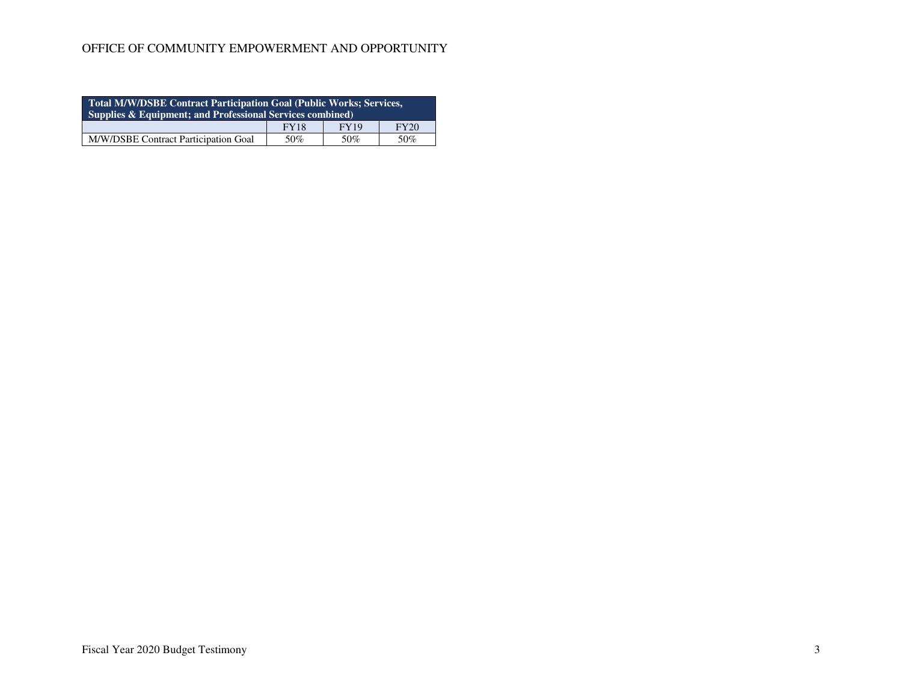| Total M/W/DSBE Contract Participation Goal (Public Works; Services,<br>Supplies & Equipment; and Professional Services combined) |  |  |  |  |  |  |
|----------------------------------------------------------------------------------------------------------------------------------|--|--|--|--|--|--|
| <b>FY19</b><br>FY20<br><b>FY18</b>                                                                                               |  |  |  |  |  |  |
| M/W/DSBE Contract Participation Goal<br>50%<br>50%<br>50%                                                                        |  |  |  |  |  |  |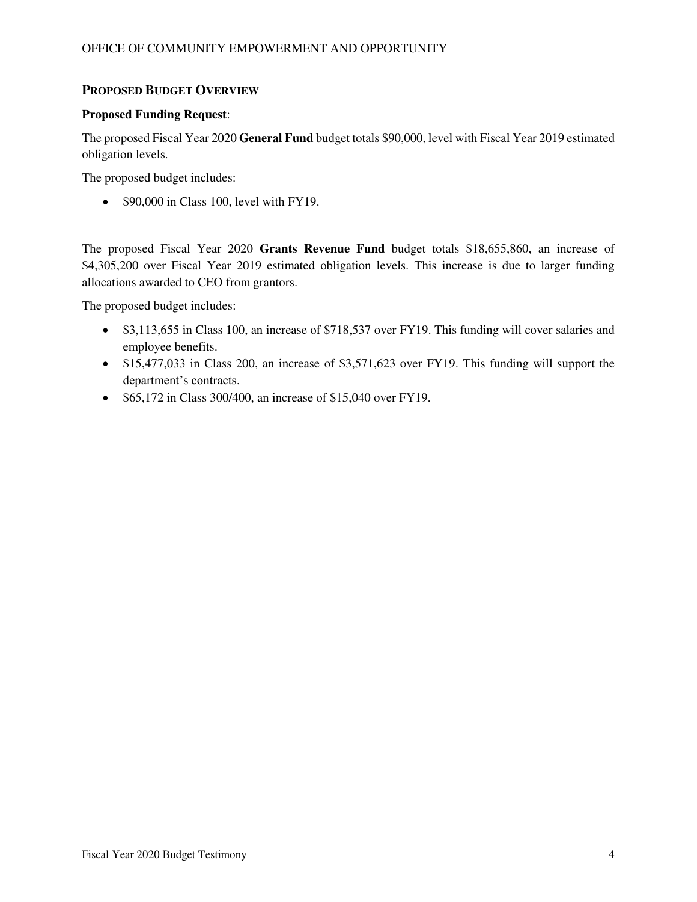## **PROPOSED BUDGET OVERVIEW**

#### **Proposed Funding Request**:

The proposed Fiscal Year 2020 **General Fund** budget totals \$90,000, level with Fiscal Year 2019 estimated obligation levels.

The proposed budget includes:

• \$90,000 in Class 100, level with FY19.

The proposed Fiscal Year 2020 **Grants Revenue Fund** budget totals \$18,655,860, an increase of \$4,305,200 over Fiscal Year 2019 estimated obligation levels. This increase is due to larger funding allocations awarded to CEO from grantors.

The proposed budget includes:

- \$3,113,655 in Class 100, an increase of \$718,537 over FY19. This funding will cover salaries and employee benefits.
- \$15,477,033 in Class 200, an increase of \$3,571,623 over FY19. This funding will support the department's contracts.
- \$65,172 in Class 300/400, an increase of \$15,040 over FY19.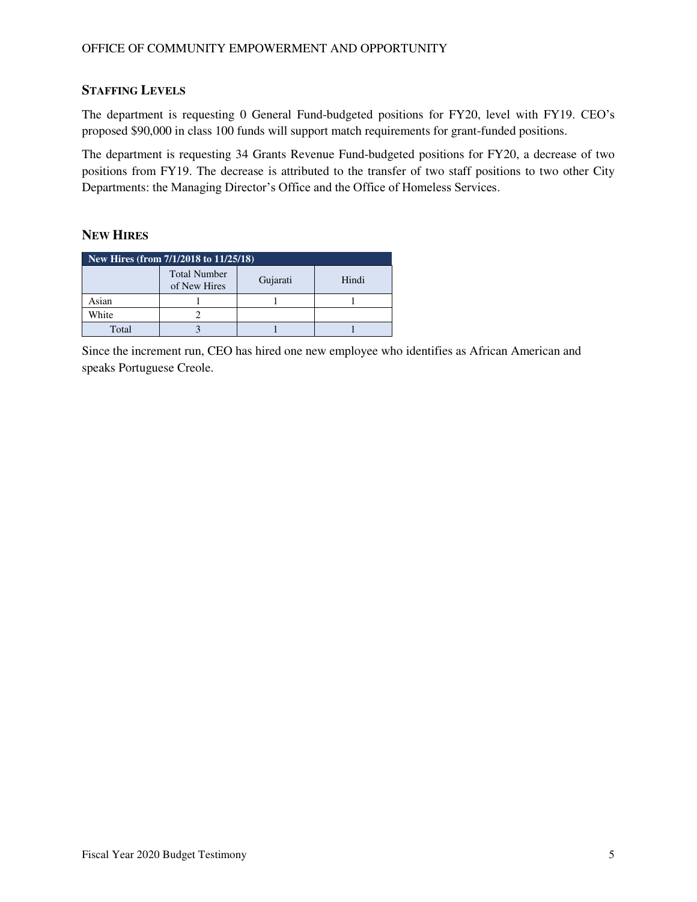## **STAFFING LEVELS**

The department is requesting 0 General Fund-budgeted positions for FY20, level with FY19. CEO's proposed \$90,000 in class 100 funds will support match requirements for grant-funded positions.

The department is requesting 34 Grants Revenue Fund-budgeted positions for FY20, a decrease of two positions from FY19. The decrease is attributed to the transfer of two staff positions to two other City Departments: the Managing Director's Office and the Office of Homeless Services.

## **NEW HIRES**

| New Hires (from 7/1/2018 to 11/25/18) |                                     |          |       |  |  |  |  |
|---------------------------------------|-------------------------------------|----------|-------|--|--|--|--|
|                                       | <b>Total Number</b><br>of New Hires | Gujarati | Hindi |  |  |  |  |
| Asian                                 |                                     |          |       |  |  |  |  |
| White                                 |                                     |          |       |  |  |  |  |
| Total                                 |                                     |          |       |  |  |  |  |

Since the increment run, CEO has hired one new employee who identifies as African American and speaks Portuguese Creole.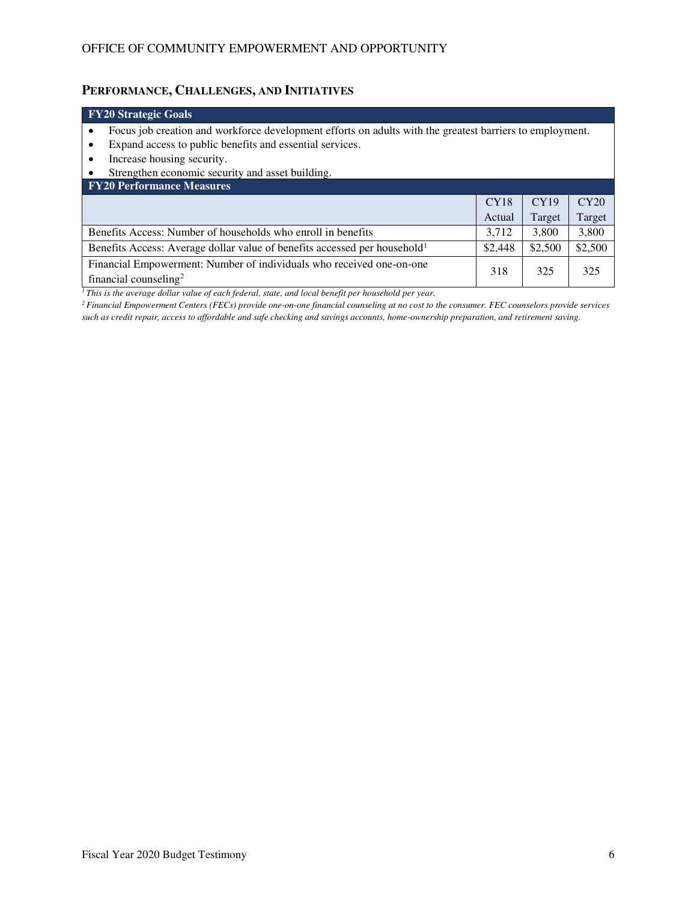# **PERFORMANCE, CHALLENGES, AND INITIATIVES**

| <b>FY20 Strategic Goals</b>                                                                                                    |                            |       |       |  |  |  |  |
|--------------------------------------------------------------------------------------------------------------------------------|----------------------------|-------|-------|--|--|--|--|
| Focus job creation and workforce development efforts on adults with the greatest barriers to employment.<br>$\bullet$          |                            |       |       |  |  |  |  |
| Expand access to public benefits and essential services.<br>$\bullet$                                                          |                            |       |       |  |  |  |  |
| Increase housing security.<br>٠                                                                                                |                            |       |       |  |  |  |  |
| Strengthen economic security and asset building.                                                                               |                            |       |       |  |  |  |  |
| <b>FY20 Performance Measures</b>                                                                                               |                            |       |       |  |  |  |  |
|                                                                                                                                | CY18                       | CY19  | CY20  |  |  |  |  |
|                                                                                                                                | Target<br>Target<br>Actual |       |       |  |  |  |  |
| Benefits Access: Number of households who enroll in benefits                                                                   | 3.712                      | 3,800 | 3,800 |  |  |  |  |
| \$2,500<br>\$2,500<br>Benefits Access: Average dollar value of benefits accessed per household <sup>1</sup><br>\$2,448         |                            |       |       |  |  |  |  |
| Financial Empowerment: Number of individuals who received one-on-one<br>325<br>325<br>318<br>financial counseling <sup>2</sup> |                            |       |       |  |  |  |  |
| <sup>1</sup> This is the average dollar value of each federal, state, and local benefit per household per vear                 |                            |       |       |  |  |  |  |

*<sup>1</sup>This is the average dollar value of each federal, state, and local benefit per household per year.* 

*<sup>2</sup>Financial Empowerment Centers (FECs) provide one-on-one financial counseling at no cost to the consumer. FEC counselors provide services such as credit repair, access to affordable and safe checking and savings accounts, home-ownership preparation, and retirement saving.*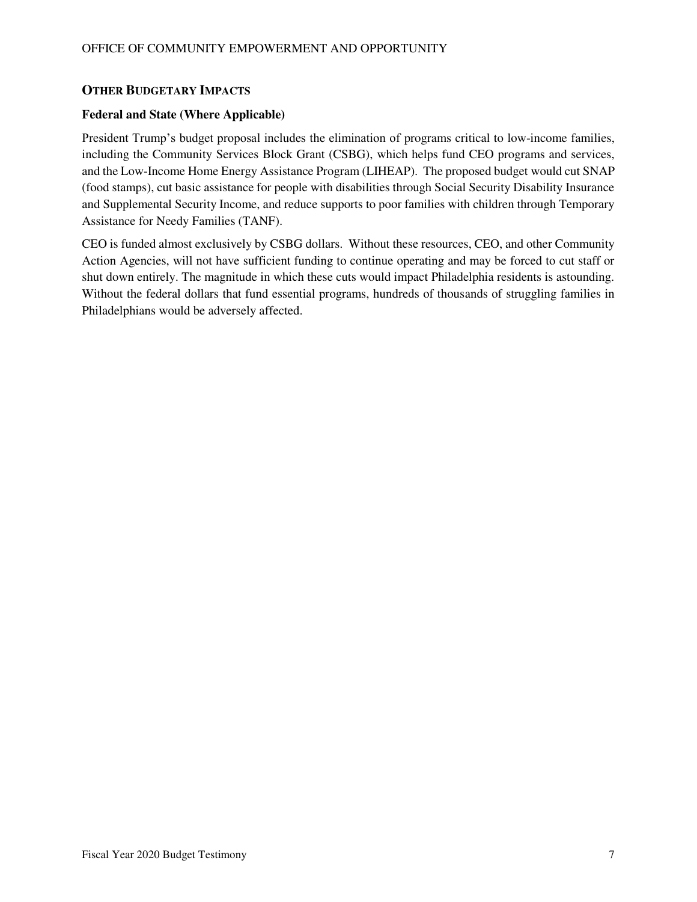## **OTHER BUDGETARY IMPACTS**

#### **Federal and State (Where Applicable)**

President Trump's budget proposal includes the elimination of programs critical to low-income families, including the Community Services Block Grant (CSBG), which helps fund CEO programs and services, and the Low-Income Home Energy Assistance Program (LIHEAP). The proposed budget would cut SNAP (food stamps), cut basic assistance for people with disabilities through Social Security Disability Insurance and Supplemental Security Income, and reduce supports to poor families with children through Temporary Assistance for Needy Families (TANF).

CEO is funded almost exclusively by CSBG dollars. Without these resources, CEO, and other Community Action Agencies, will not have sufficient funding to continue operating and may be forced to cut staff or shut down entirely. The magnitude in which these cuts would impact Philadelphia residents is astounding. Without the federal dollars that fund essential programs, hundreds of thousands of struggling families in Philadelphians would be adversely affected.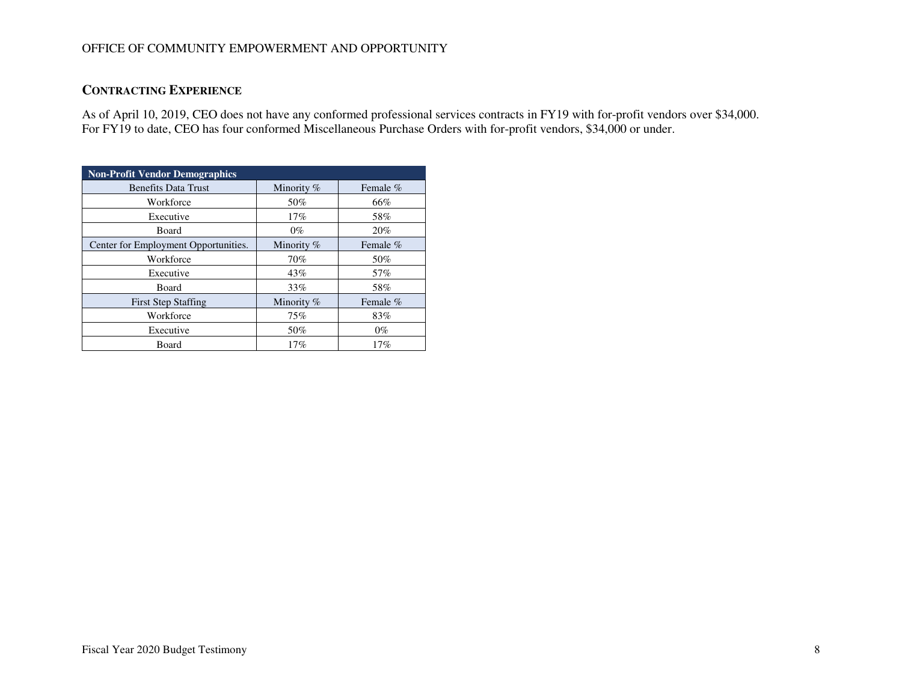## **CONTRACTING EXPERIENCE**

As of April 10, 2019, CEO does not have any conformed professional services contracts in FY19 with for-profit vendors over \$34,000. For FY19 to date, CEO has four conformed Miscellaneous Purchase Orders with for-profit vendors, \$34,000 or under.

| <b>Non-Profit Vendor Demographics</b> |              |            |  |  |  |  |
|---------------------------------------|--------------|------------|--|--|--|--|
| <b>Benefits Data Trust</b>            | Minority $%$ | Female $%$ |  |  |  |  |
| Workforce                             | 50%          | 66%        |  |  |  |  |
| Executive                             | 17%          | 58%        |  |  |  |  |
| Board                                 | $0\%$        | 20%        |  |  |  |  |
| Center for Employment Opportunities.  | Minority $%$ | Female $%$ |  |  |  |  |
| Workforce                             | 70%          | 50%        |  |  |  |  |
| Executive                             | 43%          | 57%        |  |  |  |  |
| Board                                 | 33%          | 58%        |  |  |  |  |
| <b>First Step Staffing</b>            | Minority %   | Female %   |  |  |  |  |
| Workforce                             | 75%          | 83%        |  |  |  |  |
| Executive                             | 50%          | $0\%$      |  |  |  |  |
| Board                                 | 17%          | 17%        |  |  |  |  |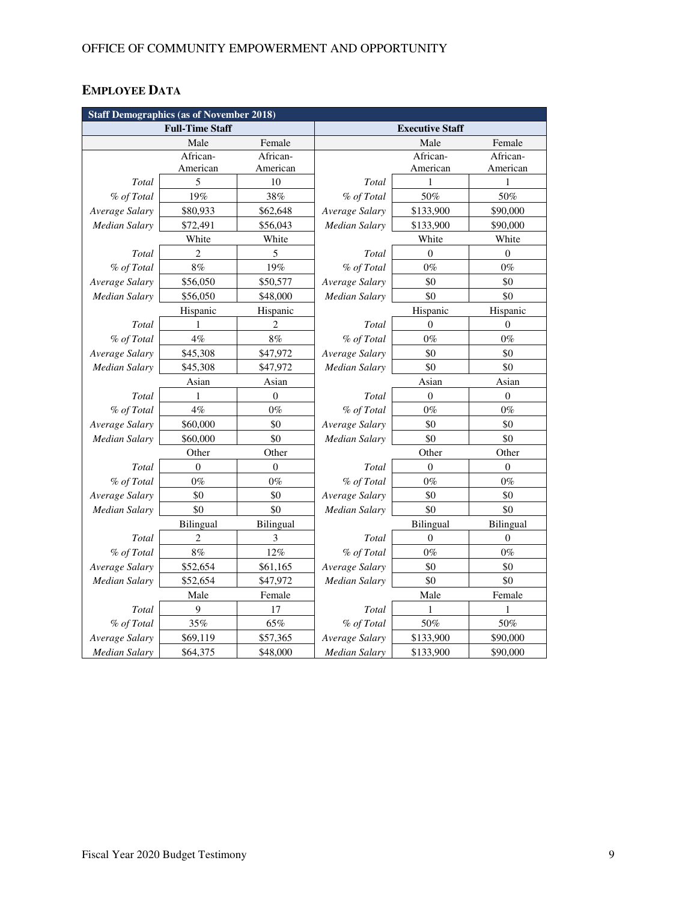# **EMPLOYEE DATA**

| <b>Staff Demographics (as of November 2018)</b> |                |                  |                        |                  |                  |
|-------------------------------------------------|----------------|------------------|------------------------|------------------|------------------|
| <b>Full-Time Staff</b>                          |                |                  | <b>Executive Staff</b> |                  |                  |
|                                                 | Male           | Female           |                        | Male             | Female           |
|                                                 | African-       | African-         |                        | African-         | African-         |
|                                                 | American       | American         |                        | American         | American         |
| Total                                           | 5              | 10               | Total                  | 1                | 1                |
| % of Total                                      | 19%            | 38%              | % of Total             | 50%              | 50%              |
| Average Salary                                  | \$80,933       | \$62,648         | Average Salary         | \$133,900        | \$90,000         |
| <b>Median Salary</b>                            | \$72,491       | \$56,043         | Median Salary          | \$133,900        | \$90,000         |
|                                                 | White          | White            |                        | White            | White            |
| Total                                           | $\overline{c}$ | 5                | Total                  | $\theta$         | $\mathbf{0}$     |
| % of Total                                      | $8\%$          | 19%              | % of Total             | $0\%$            | $0\%$            |
| Average Salary                                  | \$56,050       | \$50,577         | Average Salary         | \$0              | \$0              |
| <b>Median Salary</b>                            | \$56,050       | \$48,000         | <b>Median Salary</b>   | \$0              | \$0              |
|                                                 | Hispanic       | Hispanic         |                        | Hispanic         | Hispanic         |
| Total                                           | 1              | 2                | Total                  | $\theta$         | $\theta$         |
| % of Total                                      | 4%             | 8%               | % of Total             | $0\%$            | $0\%$            |
| Average Salary                                  | \$45,308       | \$47,972         | Average Salary         | \$0              | \$0              |
| <b>Median Salary</b>                            | \$45,308       | \$47,972         | <b>Median Salary</b>   | \$0              | \$0              |
|                                                 | Asian          | Asian            | Asian                  |                  | Asian            |
| Total                                           | 1              | $\boldsymbol{0}$ | Total                  | $\boldsymbol{0}$ | $\boldsymbol{0}$ |
| % of Total                                      | 4%             | $0\%$            | % of Total             | $0\%$            | $0\%$            |
| Average Salary                                  | \$60,000       | \$0              | Average Salary         | \$0              | \$0              |
| Median Salary                                   | \$60,000       | \$0              | Median Salary          | \$0              | \$0              |
|                                                 | Other          | Other            |                        | Other            | Other            |
| Total                                           | $\mathbf{0}$   | $\mathbf{0}$     | Total                  | $\Omega$         | $\theta$         |
| % of Total                                      | $0\%$          | $0\%$            | % of Total             | $0\%$            | $0\%$            |
| Average Salary                                  | \$0            | \$0              | Average Salary         | \$0              | \$0              |
| <b>Median Salary</b>                            | \$0            | \$0              | <b>Median Salary</b>   | \$0              | \$0              |
|                                                 | Bilingual      | Bilingual        |                        | <b>Bilingual</b> | Bilingual        |
| Total                                           | $\overline{c}$ | 3                | Total                  | $\boldsymbol{0}$ | $\boldsymbol{0}$ |
| % of Total                                      | $8\%$          | 12%              | % of Total             | $0\%$            | $0\%$            |
| Average Salary                                  | \$52,654       | \$61,165         | Average Salary         | \$0              | \$0              |
| Median Salary                                   | \$52,654       | \$47,972         | Median Salary          | \$0              | \$0              |
|                                                 | Male           | Female           |                        | Male             | Female           |
| Total                                           | 9              | 17               | Total                  | 1                | 1                |
| % of Total                                      | 35%            | 65%              | % of Total             | 50%              | $50\%$           |
| Average Salary                                  | \$69,119       | \$57,365         | Average Salary         | \$133,900        | \$90,000         |
| <b>Median Salary</b>                            | \$64,375       | \$48,000         | <b>Median Salary</b>   | \$133,900        | \$90,000         |